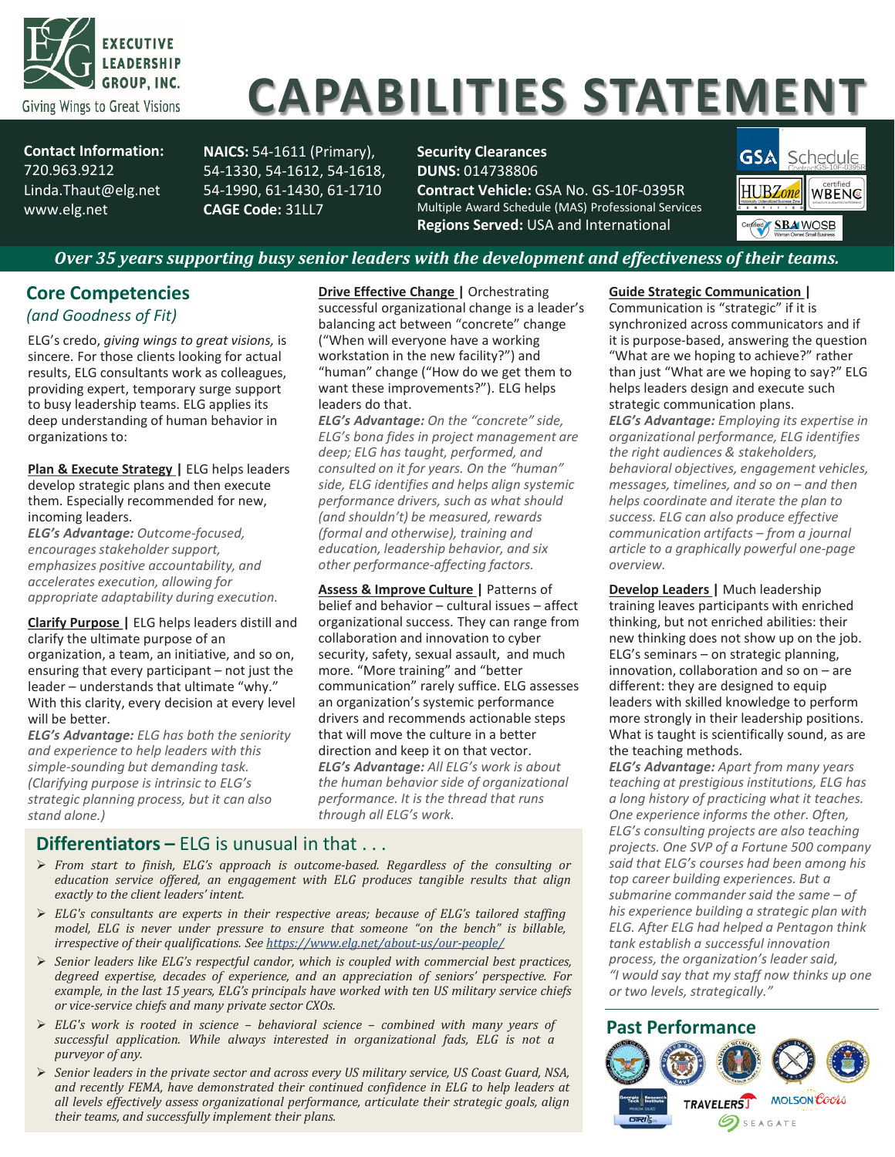

# **CAPABILITIES STATEMENT**

**Contact Information:** 720.963.9212 Linda.Thaut@elg.net www.elg.net

**NAICS:** 54-1611 (Primary), 54-1330, 54-1612, 54-1618, 54-1990, 61-1430, 61-1710 **CAGE Code:** 31LL7

**Security Clearances DUNS:** 014738806

**Contract Vehicle:** GSA No. GS-10F-0395R Multiple Award Schedule (MAS) Professional Services **Regions Served:** USA and International



# *Over 35 years supporting busy senior leaders with the development and effectiveness of their teams.*

# **Core Competencies**  *(and Goodness of Fit)*

ELG's credo, *giving wings to great visions,* is sincere. For those clients looking for actual results, ELG consultants work as colleagues, providing expert, temporary surge support to busy leadership teams. ELG applies its deep understanding of human behavior in organizations to:

**Plan & Execute Strategy |** ELG helps leaders develop strategic plans and then execute them. Especially recommended for new, incoming leaders.

*ELG's Advantage: Outcome-focused, encourages stakeholder support, emphasizes positive accountability, and accelerates execution, allowing for appropriate adaptability during execution.*

**Clarify Purpose |** ELG helps leaders distill and clarify the ultimate purpose of an organization, a team, an initiative, and so on, ensuring that every participant – not just the leader – understands that ultimate "why." With this clarity, every decision at every level will be better

*ELG's Advantage: ELG has both the seniority and experience to help leaders with this simple-sounding but demanding task. (Clarifying purpose is intrinsic to ELG's strategic planning process, but it can also stand alone.)*

**Drive Effective Change | Orchestrating** successful organizational change is a leader's balancing act between "concrete" change ("When will everyone have a working workstation in the new facility?") and "human" change ("How do we get them to want these improvements?"). ELG helps leaders do that.

*ELG's Advantage: On the "concrete" side, ELG's bona fides in project management are deep; ELG has taught, performed, and consulted on it for years. On the "human" side, ELG identifies and helps align systemic performance drivers, such as what should (and shouldn't) be measured, rewards (formal and otherwise), training and education, leadership behavior, and six other performance-affecting factors.*

**Assess & Improve Culture |** Patterns of belief and behavior – cultural issues – affect organizational success. They can range from collaboration and innovation to cyber security, safety, sexual assault, and much more. "More training" and "better communication" rarely suffice. ELG assesses an organization's systemic performance drivers and recommends actionable steps that will move the culture in a better direction and keep it on that vector. *ELG's Advantage: All ELG's work is about the human behavior side of organizational performance. It is the thread that runs through all ELG's work.*

# **Differentiators –** ELG is unusual in that . . .

- *From start to finish, ELG's approach is outcome-based. Regardless of the consulting or education service offered, an engagement with ELG produces tangible results that align exactly to the client leaders' intent.*
- *ELG's consultants are experts in their respective areas; because of ELG's tailored staffing model, ELG is never under pressure to ensure that someone "on the bench" is billable, irrespective of their qualifications. See <https://www.elg.net/about-us/our-people/>*
- *Senior leaders like ELG's respectful candor, which is coupled with commercial best practices, degreed expertise, decades of experience, and an appreciation of seniors' perspective. For example, in the last 15 years, ELG's principals have worked with ten US military service chiefs or vice-service chiefs and many private sector CXOs.*
- *ELG's work is rooted in science – behavioral science – combined with many years of successful application. While always interested in organizational fads, ELG is not a purveyor of any.*
- *Senior leaders in the private sector and across every US military service, US Coast Guard, NSA, and recently FEMA, have demonstrated their continued confidence in ELG to help leaders at all levels effectively assess organizational performance, articulate their strategic goals, align their teams, and successfully implement their plans.*

#### **Guide Strategic Communication |**

Communication is "strategic" if it is synchronized across communicators and if it is purpose-based, answering the question "What are we hoping to achieve?" rather than just "What are we hoping to say?" ELG helps leaders design and execute such strategic communication plans.

*ELG's Advantage: Employing its expertise in organizational performance, ELG identifies the right audiences & stakeholders, behavioral objectives, engagement vehicles, messages, timelines, and so on – and then helps coordinate and iterate the plan to success. ELG can also produce effective communication artifacts – from a journal article to a graphically powerful one-page overview.*

**Develop Leaders |** Much leadership training leaves participants with enriched thinking, but not enriched abilities: their new thinking does not show up on the job. ELG's seminars – on strategic planning, innovation, collaboration and so on – are different: they are designed to equip leaders with skilled knowledge to perform more strongly in their leadership positions. What is taught is scientifically sound, as are the teaching methods.

*ELG's Advantage: Apart from many years teaching at prestigious institutions, ELG has a long history of practicing what it teaches. One experience informs the other. Often, ELG's consulting projects are also teaching projects. One SVP of a Fortune 500 company said that ELG's courses had been among his top career building experiences. But a submarine commander said the same – of his experience building a strategic plan with ELG. After ELG had helped a Pentagon think tank establish a successful innovation process, the organization's leader said, "I would say that my staff now thinks up one or two levels, strategically."*

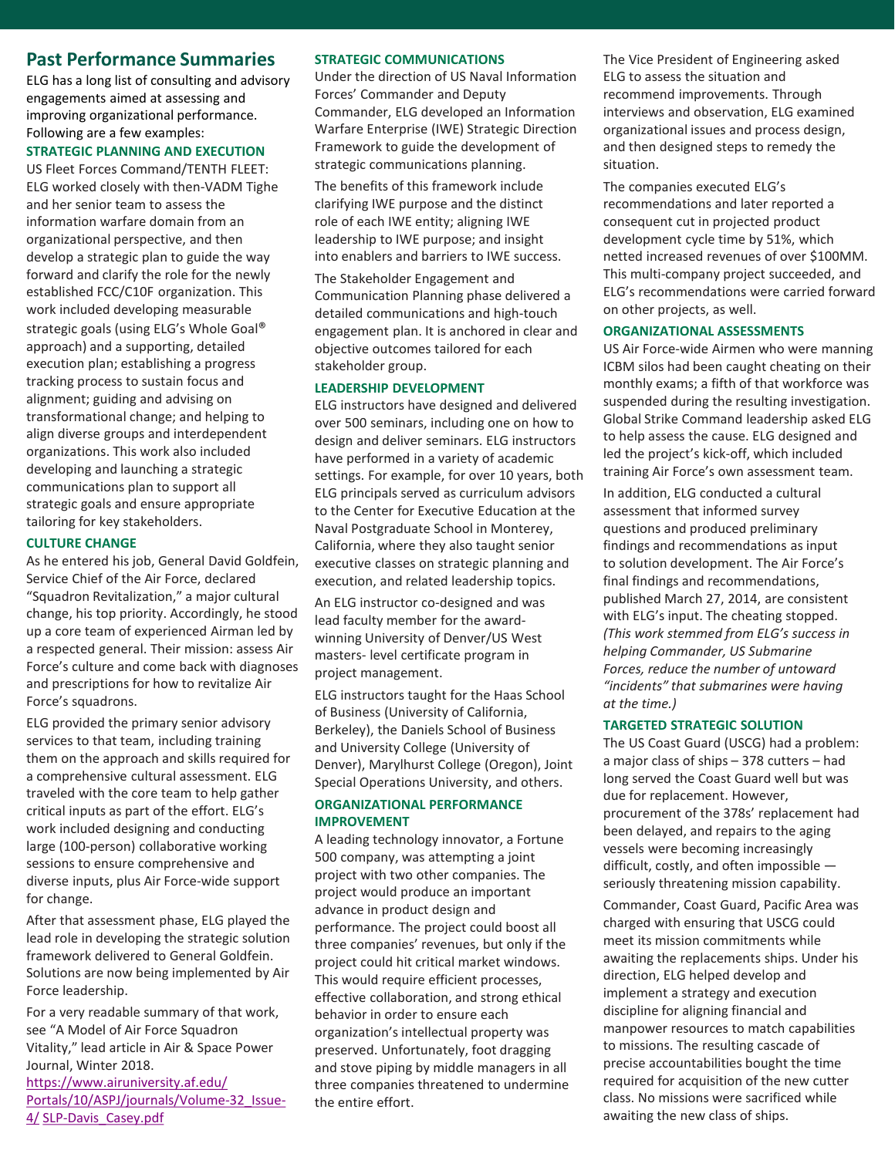# **Past Performance Summaries**

ELG has a long list of consulting and advisory engagements aimed at assessing and improving organizational performance. Following are a few examples:

#### **STRATEGIC PLANNING AND EXECUTION**

US Fleet Forces Command/TENTH FLEET: ELG worked closely with then-VADM Tighe and her senior team to assess the information warfare domain from an organizational perspective, and then develop a strategic plan to guide the way forward and clarify the role for the newly established FCC/C10F organization. This work included developing measurable strategic goals (using ELG's Whole Goal® approach) and a supporting, detailed execution plan; establishing a progress tracking process to sustain focus and alignment; guiding and advising on transformational change; and helping to align diverse groups and interdependent organizations. This work also included developing and launching a strategic communications plan to support all strategic goals and ensure appropriate tailoring for key stakeholders.

#### **CULTURE CHANGE**

As he entered his job, General David Goldfein, Service Chief of the Air Force, declared "Squadron Revitalization," a major cultural change, his top priority. Accordingly, he stood up a core team of experienced Airman led by a respected general. Their mission: assess Air Force's culture and come back with diagnoses and prescriptions for how to revitalize Air Force's squadrons.

ELG provided the primary senior advisory services to that team, including training them on the approach and skills required for a comprehensive cultural assessment. ELG traveled with the core team to help gather critical inputs as part of the effort. ELG's work included designing and conducting large (100-person) collaborative working sessions to ensure comprehensive and diverse inputs, plus Air Force-wide support for change.

After that assessment phase, ELG played the lead role in developing the strategic solution framework delivered to General Goldfein. Solutions are now being implemented by Air Force leadership.

For a very readable summary of that work, see "A Model of Air Force Squadron Vitality," lead article in Air & Space Power Journal, Winter 2018.

[https://www.airuniversity.af.edu/](https://www.airuniversity.af.edu/Portals/10/ASPJ/journals/Volume-32_Issue-4/SLP-Davis_Casey.pdf) [Portals/10/ASPJ/journals/Volume-32\\_Issue-](https://www.airuniversity.af.edu/Portals/10/ASPJ/journals/Volume-32_Issue-4/SLP-Davis_Casey.pdf)4/ [SLP-Davis\\_Casey.pdf](https://www.airuniversity.af.edu/Portals/10/ASPJ/journals/Volume-32_Issue-4/SLP-Davis_Casey.pdf)

#### **STRATEGIC COMMUNICATIONS**

Under the direction of US Naval Information Forces' Commander and Deputy Commander, ELG developed an Information Warfare Enterprise (IWE) Strategic Direction Framework to guide the development of strategic communications planning.

The benefits of this framework include clarifying IWE purpose and the distinct role of each IWE entity; aligning IWE leadership to IWE purpose; and insight into enablers and barriers to IWE success.

The Stakeholder Engagement and Communication Planning phase delivered a detailed communications and high-touch engagement plan. It is anchored in clear and objective outcomes tailored for each stakeholder group.

#### **LEADERSHIP DEVELOPMENT**

ELG instructors have designed and delivered over 500 seminars, including one on how to design and deliver seminars. ELG instructors have performed in a variety of academic settings. For example, for over 10 years, both ELG principals served as curriculum advisors to the Center for Executive Education at the Naval Postgraduate School in Monterey, California, where they also taught senior executive classes on strategic planning and execution, and related leadership topics.

An ELG instructor co-designed and was lead faculty member for the awardwinning University of Denver/US West masters- level certificate program in project management.

ELG instructors taught for the Haas School of Business (University of California, Berkeley), the Daniels School of Business and University College (University of Denver), Marylhurst College (Oregon), Joint Special Operations University, and others.

#### **ORGANIZATIONAL PERFORMANCE IMPROVEMENT**

A leading technology innovator, a Fortune 500 company, was attempting a joint project with two other companies. The project would produce an important advance in product design and performance. The project could boost all three companies' revenues, but only if the project could hit critical market windows. This would require efficient processes, effective collaboration, and strong ethical behavior in order to ensure each organization's intellectual property was preserved. Unfortunately, foot dragging and stove piping by middle managers in all three companies threatened to undermine the entire effort.

The Vice President of Engineering asked ELG to assess the situation and recommend improvements. Through interviews and observation, ELG examined organizational issues and process design, and then designed steps to remedy the situation.

The companies executed ELG's recommendations and later reported a consequent cut in projected product development cycle time by 51%, which netted increased revenues of over \$100MM. This multi-company project succeeded, and ELG's recommendations were carried forward on other projects, as well.

#### **ORGANIZATIONAL ASSESSMENTS**

US Air Force-wide Airmen who were manning ICBM silos had been caught cheating on their monthly exams; a fifth of that workforce was suspended during the resulting investigation. Global Strike Command leadership asked ELG to help assess the cause. ELG designed and led the project's kick-off, which included training Air Force's own assessment team.

In addition, ELG conducted a cultural assessment that informed survey questions and produced preliminary findings and recommendations as input to solution development. The Air Force's final findings and recommendations, published March 27, 2014, are consistent with ELG's input. The cheating stopped. *(This work stemmed from ELG's success in helping Commander, US Submarine Forces, reduce the number of untoward "incidents" that submarines were having at the time.)*

#### **TARGETED STRATEGIC SOLUTION**

The US Coast Guard (USCG) had a problem: a major class of ships – 378 cutters – had long served the Coast Guard well but was due for replacement. However, procurement of the 378s' replacement had been delayed, and repairs to the aging vessels were becoming increasingly difficult, costly, and often impossible seriously threatening mission capability.

Commander, Coast Guard, Pacific Area was charged with ensuring that USCG could meet its mission commitments while awaiting the replacements ships. Under his direction, ELG helped develop and implement a strategy and execution discipline for aligning financial and manpower resources to match capabilities to missions. The resulting cascade of precise accountabilities bought the time required for acquisition of the new cutter class. No missions were sacrificed while awaiting the new class of ships.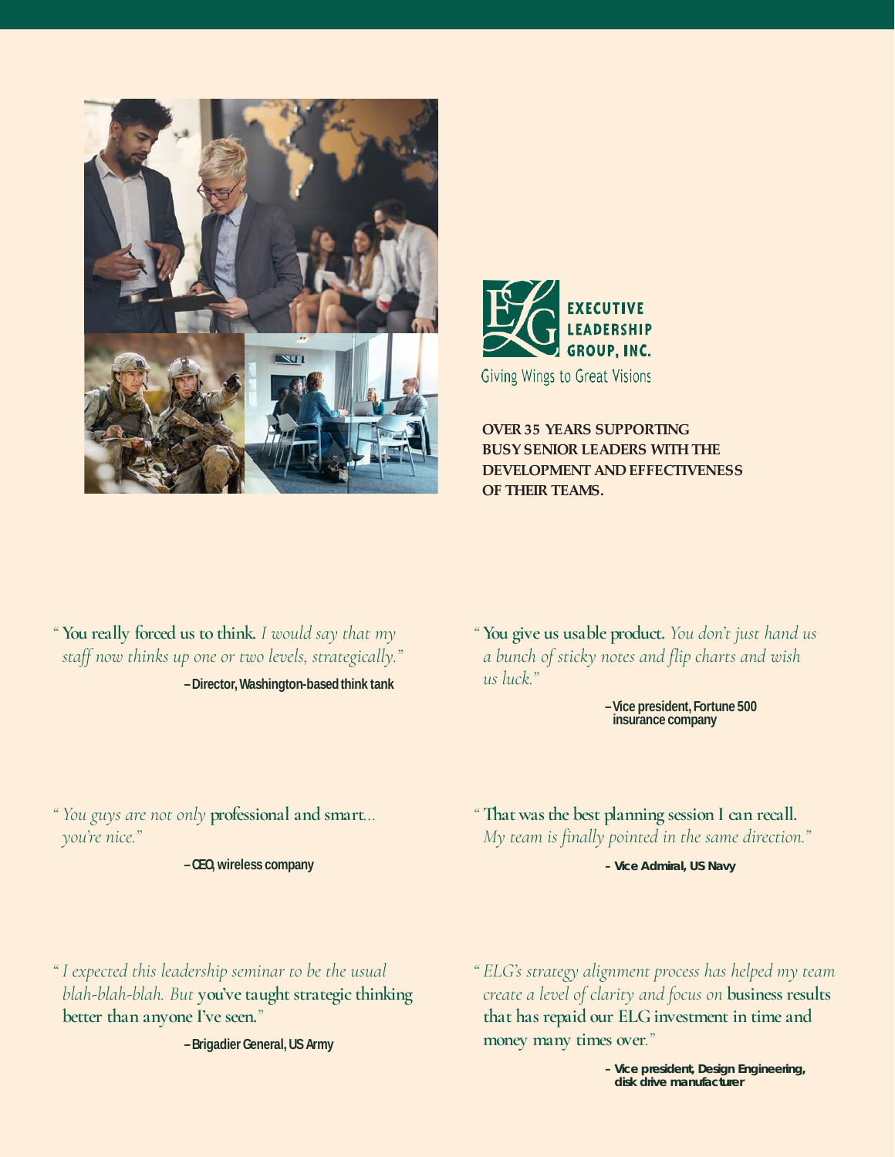



**OVER 35 YEARS SUPPORTING BUSY SENIOR LEADERS WITH THE DEVELOPMENT AND EFFECTIVENESS OF THEIR TEAMS.**

*"* **You really forced us to think.** *I would say that my staff now thinks up one or two levels, strategically."* **–Director,Washington-basedthink tank**

*"* **You give us usable product.** *You don't just hand us a bunch of sticky notes and flip charts and wish us luck."*

**insurance company**

*" You guys are not only* **professional and smart***… you're nice."*

**–CEO,wireless company**

**–Vice president,Fortune 500** 

*"* **That was the best planning session I can recall.** *My team is finally pointed in the same direction."*

**– Vice Admiral, US Navy**

*" I expected this leadership seminar to be the usual blah-blah-blah. But* **you've taught strategic thinking better than anyone I've seen.***"*

**–BrigadierGeneral,USArmy**

*" ELG's strategy alignment process has helped my team create a level of clarity and focus on* **business results that has repaid our ELG investment in time and money many times over***."*

> **– Vice president, Design Engineering, disk drive manufacturer**